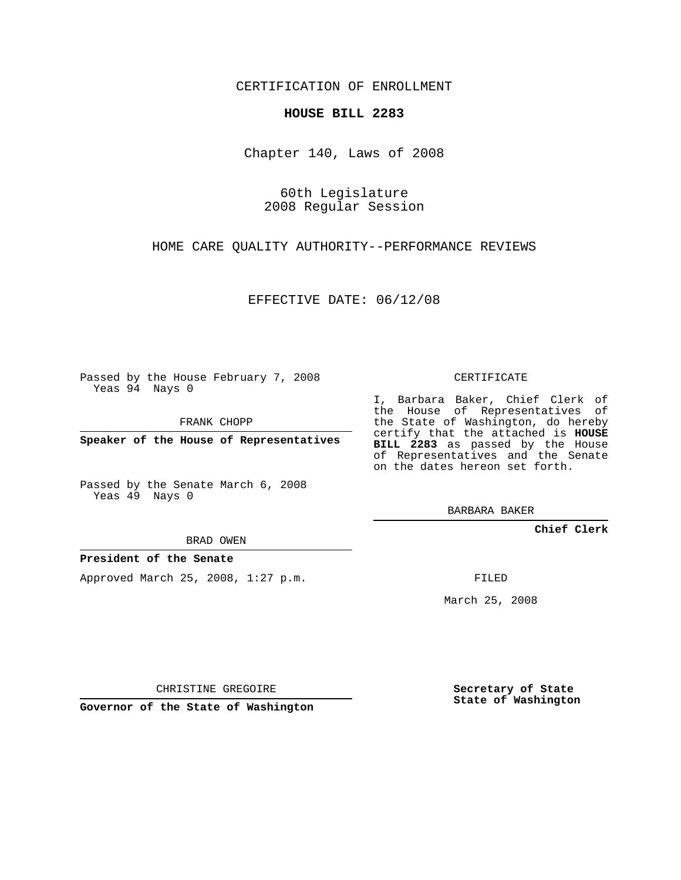CERTIFICATION OF ENROLLMENT

## **HOUSE BILL 2283**

Chapter 140, Laws of 2008

60th Legislature 2008 Regular Session

HOME CARE QUALITY AUTHORITY--PERFORMANCE REVIEWS

EFFECTIVE DATE: 06/12/08

Passed by the House February 7, 2008 Yeas 94 Nays 0

FRANK CHOPP

**Speaker of the House of Representatives**

Passed by the Senate March 6, 2008 Yeas 49 Nays 0

I, Barbara Baker, Chief Clerk of the House of Representatives of the State of Washington, do hereby certify that the attached is **HOUSE BILL 2283** as passed by the House of Representatives and the Senate on the dates hereon set forth.

BARBARA BAKER

**Chief Clerk**

**President of the Senate**

Approved March 25, 2008, 1:27 p.m.

FILED

March 25, 2008

CHRISTINE GREGOIRE

**Governor of the State of Washington**

**Secretary of State State of Washington**

CERTIFICATE

BRAD OWEN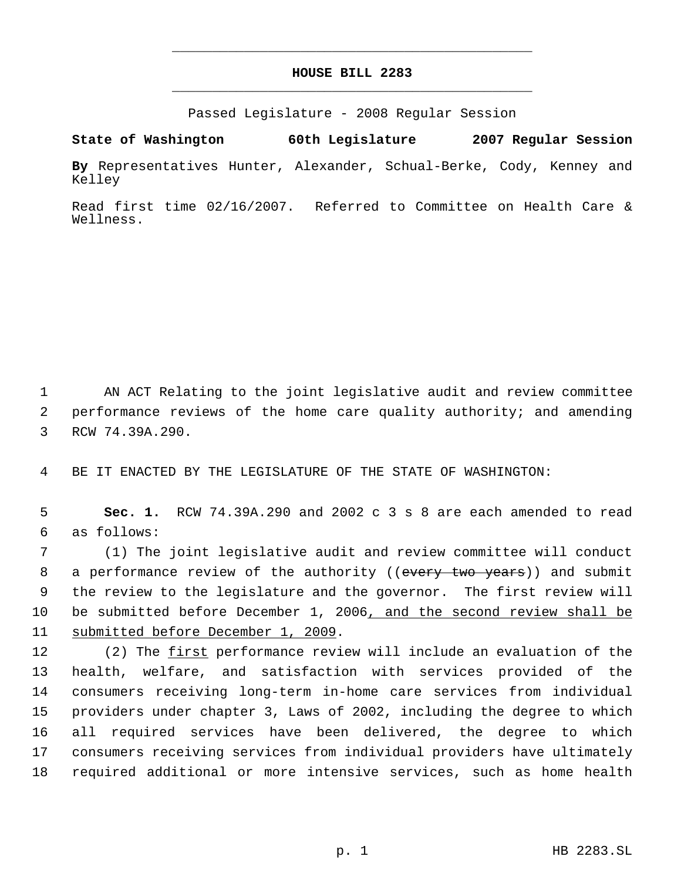## **HOUSE BILL 2283** \_\_\_\_\_\_\_\_\_\_\_\_\_\_\_\_\_\_\_\_\_\_\_\_\_\_\_\_\_\_\_\_\_\_\_\_\_\_\_\_\_\_\_\_\_

\_\_\_\_\_\_\_\_\_\_\_\_\_\_\_\_\_\_\_\_\_\_\_\_\_\_\_\_\_\_\_\_\_\_\_\_\_\_\_\_\_\_\_\_\_

Passed Legislature - 2008 Regular Session

**State of Washington 60th Legislature 2007 Regular Session**

**By** Representatives Hunter, Alexander, Schual-Berke, Cody, Kenney and Kelley

Read first time 02/16/2007. Referred to Committee on Health Care & Wellness.

 1 AN ACT Relating to the joint legislative audit and review committee 2 performance reviews of the home care quality authority; and amending 3 RCW 74.39A.290.

4 BE IT ENACTED BY THE LEGISLATURE OF THE STATE OF WASHINGTON:

 5 **Sec. 1.** RCW 74.39A.290 and 2002 c 3 s 8 are each amended to read 6 as follows:

 (1) The joint legislative audit and review committee will conduct 8 a performance review of the authority ((every two years)) and submit the review to the legislature and the governor. The first review will be submitted before December 1, 2006, and the second review shall be submitted before December 1, 2009.

12 (2) The first performance review will include an evaluation of the health, welfare, and satisfaction with services provided of the consumers receiving long-term in-home care services from individual providers under chapter 3, Laws of 2002, including the degree to which all required services have been delivered, the degree to which consumers receiving services from individual providers have ultimately required additional or more intensive services, such as home health